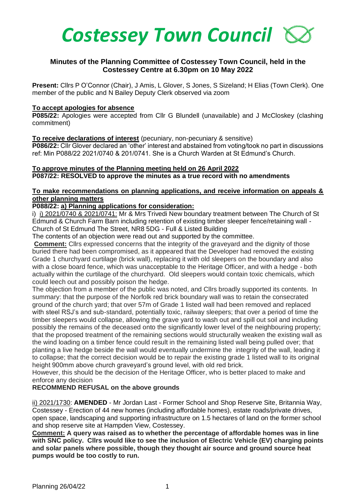

# **Minutes of the Planning Committee of Costessey Town Council, held in the Costessey Centre at 6.30pm on 10 May 2022**

**Present:** Cllrs P O'Connor (Chair), J Amis, L Glover, S Jones, S Sizeland; H Elias (Town Clerk). One member of the public and N Bailey Deputy Clerk observed via zoom

#### **To accept apologies for absence**

**P085/22:** Apologies were accepted from Cllr G Blundell (unavailable) and J McCloskey (clashing commitment)

### **To receive declarations of interest** (pecuniary, non-pecuniary & sensitive)

**P086/22:** Cllr Glover declared an 'other' interest and abstained from voting/took no part in discussions ref: Min P088/22 2021/0740 & 201/0741. She is a Church Warden at St Edmund's Church.

# **To approve minutes of the Planning meeting held on 26 April 2022 P087/22: RESOLVED to approve the minutes as a true record with no amendments**

# **To make recommendations on planning applications, and receive information on appeals & other planning matters**

# **P088/22: a) Planning applications for consideration:**

i) i) 2021/0740 & 2021/0741: Mr & Mrs Trivedi New boundary treatment between The Church of St Edmund & Church Farm Barn including retention of existing timber sleeper fence/retaining wall - Church of St Edmund The Street, NR8 5DG - Full & Listed Building

The contents of an objection were read out and supported by the committee.

**Comment:** Cllrs expressed concerns that the integrity of the graveyard and the dignity of those buried there had been compromised, as it appeared that the Developer had removed the existing Grade 1 churchyard curtilage (brick wall), replacing it with old sleepers on the boundary and also with a close board fence, which was unacceptable to the Heritage Officer, and with a hedge - both actually within the curtilage of the churchyard. Old sleepers would contain toxic chemicals, which could leech out and possibly poison the hedge.

The objection from a member of the public was noted, and Cllrs broadly supported its contents. In summary: that the purpose of the Norfolk red brick boundary wall was to retain the consecrated ground of the church yard; that over 57m of Grade 1 listed wall had been removed and replaced with steel RSJ's and sub-standard, potentially toxic, railway sleepers; that over a period of time the timber sleepers would collapse, allowing the grave yard to wash out and spill out soil and including possibly the remains of the deceased onto the significantly lower level of the neighbouring property; that the proposed treatment of the remaining sections would structurally weaken the existing wall as the wind loading on a timber fence could result in the remaining listed wall being pulled over; that planting a live hedge beside the wall would eventually undermine the integrity of the wall, leading it to collapse; that the correct decision would be to repair the existing grade 1 listed wall to its original height 900mm above church graveyard's ground level, with old red brick.

However, this should be the decision of the Heritage Officer, who is better placed to make and enforce any decision

## **RECOMMEND REFUSAL on the above grounds**

ii) 2021/1730: **AMENDED** - Mr Jordan Last - Former School and Shop Reserve Site, Britannia Way, Costessey - Erection of 44 new homes (including affordable homes), estate roads/private drives, open space, landscaping and supporting infrastructure on 1.5 hectares of land on the former school and shop reserve site at Hampden View, Costessey.

**Comment: A query was raised as to whether the percentage of affordable homes was in line with SNC policy. Cllrs would like to see the inclusion of Electric Vehicle (EV) charging points and solar panels where possible, though they thought air source and ground source heat pumps would be too costly to run.**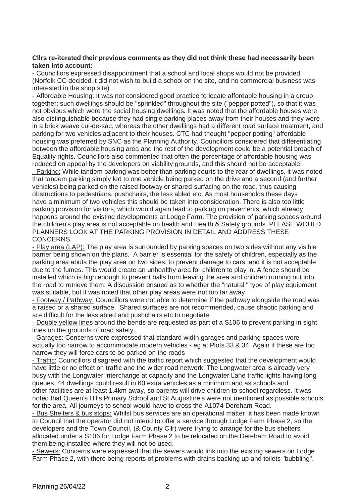### **Cllrs re-iterated their previous comments as they did not think these had necessarily been taken into account:**

- Councillors expressed disappointment that a school and local shops would not be provided (Norfolk CC decided it did not wish to build a school on the site, and no commercial business was interested in the shop site)

- Affordable Housing: It was not considered good practice to locate affordable housing in a group together: such dwellings should be "sprinkled" throughout the site ("pepper potted"), so that it was not obvious which were the social housing dwellings. It was noted that the affordable houses were also distinguishable because they had single parking places away from their houses and they were in a brick weave cul-de-sac, whereas the other dwellings had a different road surface treatment, and parking for two vehicles adjacent to their houses. CTC had thought "pepper potting" affordable housing was preferred by SNC as the Planning Authority. Councillors considered that differentiating between the affordable housing area and the rest of the development could be a potential breach of Equality rights. Councillors also commented that often the percentage of affordable housing was reduced on appeal by the developers on viability grounds, and this should not be acceptable. - Parking: While tandem parking was better than parking courts to the rear of dwellings, it was noted that tandem parking simply led to one vehicle being parked on the drive and a second (and further vehicles) being parked on the raised footway or shared surfacing on the road, thus causing obstructions to pedestrians, pushchairs, the less abled etc. As most households these days have a minimum of two vehicles this should be taken into consideration. There is also too little parking provision for visitors, which would again lead to parking on pavements, which already happens around the existing developments at Lodge Farm. The provision of parking spaces around the children's play area is not acceptable on health and Health & Safety grounds. PLEASE WOULD PLANNERS LOOK AT THE PARKING PROVISION IN DETAIL AND ADDRESS THESE CONCERNS.

- Play area (LAP): The play area is surrounded by parking spaces on two sides without any visible barrier being shown on the plans. A barrier is essential for the safety of children, especially as the parking area abuts the play area on two sides, to prevent damage to cars, and it is not acceptable due to the fumes. This would create an unhealthy area for children to play in. A fence should be installed which is high enough to prevent balls from leaving the area and children running out into the road to retrieve them. A discussion ensued as to whether the "natural " type of play equipment was suitable, but it was noted that other play areas were not too far away.

- Footway / Pathway: Councillors were not able to determine if the pathway alongside the road was a raised or a shared surface. Shared surfaces are not recommended, cause chaotic parking and are difficult for the less abled and pushchairs etc to negotiate.

- Double yellow lines around the bends are requested as part of a S106 to prevent parking in sight lines on the grounds of road safety.

- Garages: Concerns were expressed that standard width garages and parking spaces were actually too narrow to accommodate modern vehicles - eg at Plots 33 & 34. Again if these are too narrow they will force cars to be parked on the roads

- Traffic: Councillors disagreed with the traffic report which suggested that the development would have little or no effect on traffic and the wider road network. The Longwater area is already very busy with the Longwater Interchange at capacity and the Longwater Lane traffic lights having long queues. 44 dwellings could result in 60 extra vehicles as a minimum and as schools and other facilities are at least 1.4km away, so parents will drive children to school regardless. It was noted that Queen's Hills Primary School and St Augustine's were not mentioned as possible schools for the area. All journeys to school would have to cross the A1074 Dereham Road.

- Bus Shelters & bus stops: Whilst bus services are an operational matter, it has been made known to Council that the operator did not intend to offer a service through Lodge Farm Phase 2, so the developers and the Town Council, (& County Cllr) were trying to arrange for the bus shelters allocated under a S106 for Lodge Farm Phase 2 to be relocated on the Dereham Road to avoid them being installed where they will not be used.

- Sewers: Concerns were expressed that the sewers would link into the existing sewers on Lodge Farm Phase 2, with there being reports of problems with drains backing up and toilets "bubbling".